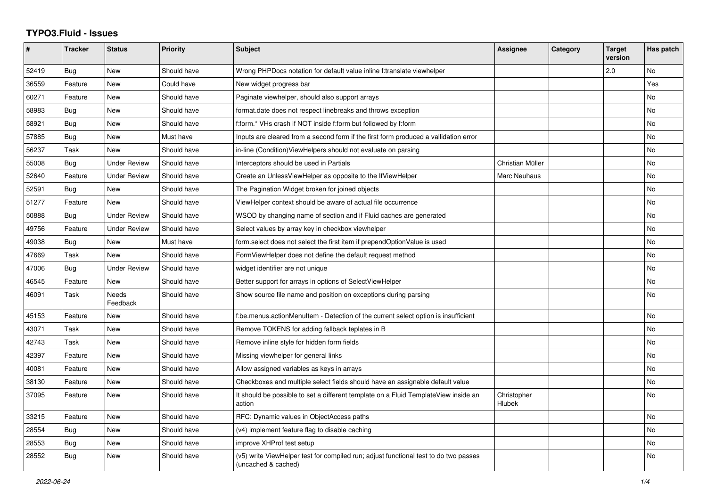## **TYPO3.Fluid - Issues**

| #     | <b>Tracker</b> | <b>Status</b>       | <b>Priority</b> | <b>Subject</b>                                                                                              | Assignee              | Category | <b>Target</b><br>version | Has patch |
|-------|----------------|---------------------|-----------------|-------------------------------------------------------------------------------------------------------------|-----------------------|----------|--------------------------|-----------|
| 52419 | Bug            | New                 | Should have     | Wrong PHPDocs notation for default value inline f:translate viewhelper                                      |                       |          | 2.0                      | No        |
| 36559 | Feature        | <b>New</b>          | Could have      | New widget progress bar                                                                                     |                       |          |                          | Yes       |
| 60271 | Feature        | <b>New</b>          | Should have     | Paginate viewhelper, should also support arrays                                                             |                       |          |                          | No        |
| 58983 | Bug            | New                 | Should have     | format.date does not respect linebreaks and throws exception                                                |                       |          |                          | <b>No</b> |
| 58921 | Bug            | New                 | Should have     | f:form.* VHs crash if NOT inside f:form but followed by f:form                                              |                       |          |                          | No        |
| 57885 | Bug            | New                 | Must have       | Inputs are cleared from a second form if the first form produced a vallidation error                        |                       |          |                          | No        |
| 56237 | Task           | New                 | Should have     | in-line (Condition) View Helpers should not evaluate on parsing                                             |                       |          |                          | No        |
| 55008 | Bug            | <b>Under Review</b> | Should have     | Interceptors should be used in Partials                                                                     | Christian Müller      |          |                          | No        |
| 52640 | Feature        | Under Review        | Should have     | Create an UnlessViewHelper as opposite to the IfViewHelper                                                  | Marc Neuhaus          |          |                          | <b>No</b> |
| 52591 | <b>Bug</b>     | New                 | Should have     | The Pagination Widget broken for joined objects                                                             |                       |          |                          | No        |
| 51277 | Feature        | <b>New</b>          | Should have     | ViewHelper context should be aware of actual file occurrence                                                |                       |          |                          | No        |
| 50888 | Bug            | Under Review        | Should have     | WSOD by changing name of section and if Fluid caches are generated                                          |                       |          |                          | No        |
| 49756 | Feature        | <b>Under Review</b> | Should have     | Select values by array key in checkbox viewhelper                                                           |                       |          |                          | No        |
| 49038 | Bug            | <b>New</b>          | Must have       | form select does not select the first item if prependOptionValue is used                                    |                       |          |                          | <b>No</b> |
| 47669 | Task           | New                 | Should have     | FormViewHelper does not define the default request method                                                   |                       |          |                          | <b>No</b> |
| 47006 | <b>Bug</b>     | <b>Under Review</b> | Should have     | widget identifier are not unique                                                                            |                       |          |                          | No        |
| 46545 | Feature        | New                 | Should have     | Better support for arrays in options of SelectViewHelper                                                    |                       |          |                          | No        |
| 46091 | Task           | Needs<br>Feedback   | Should have     | Show source file name and position on exceptions during parsing                                             |                       |          |                          | No        |
| 45153 | Feature        | New                 | Should have     | f:be.menus.actionMenuItem - Detection of the current select option is insufficient                          |                       |          |                          | No        |
| 43071 | Task           | New                 | Should have     | Remove TOKENS for adding fallback teplates in B                                                             |                       |          |                          | <b>No</b> |
| 42743 | Task           | New                 | Should have     | Remove inline style for hidden form fields                                                                  |                       |          |                          | <b>No</b> |
| 42397 | Feature        | New                 | Should have     | Missing viewhelper for general links                                                                        |                       |          |                          | <b>No</b> |
| 40081 | Feature        | New                 | Should have     | Allow assigned variables as keys in arrays                                                                  |                       |          |                          | No        |
| 38130 | Feature        | <b>New</b>          | Should have     | Checkboxes and multiple select fields should have an assignable default value                               |                       |          |                          | No        |
| 37095 | Feature        | New                 | Should have     | It should be possible to set a different template on a Fluid TemplateView inside an<br>action               | Christopher<br>Hlubek |          |                          | No        |
| 33215 | Feature        | New                 | Should have     | RFC: Dynamic values in ObjectAccess paths                                                                   |                       |          |                          | No        |
| 28554 | Bug            | New                 | Should have     | (v4) implement feature flag to disable caching                                                              |                       |          |                          | No        |
| 28553 | Bug            | New                 | Should have     | improve XHProf test setup                                                                                   |                       |          |                          | <b>No</b> |
| 28552 | <b>Bug</b>     | New                 | Should have     | (v5) write ViewHelper test for compiled run; adjust functional test to do two passes<br>(uncached & cached) |                       |          |                          | <b>No</b> |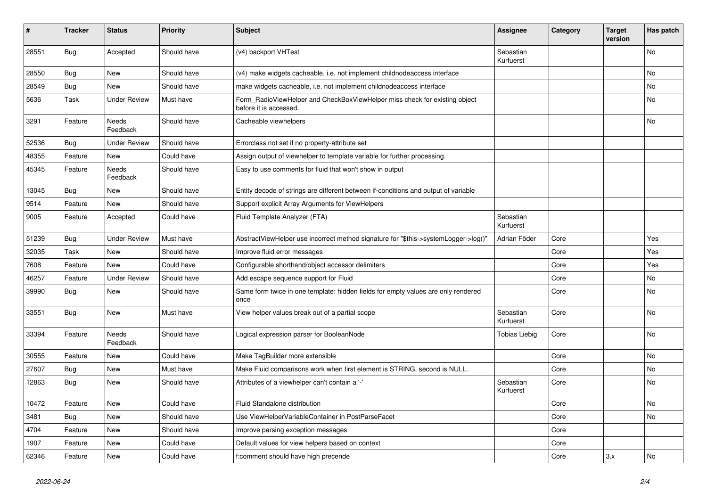| $\vert$ # | <b>Tracker</b> | <b>Status</b>       | <b>Priority</b> | <b>Subject</b>                                                                                       | <b>Assignee</b>        | Category | <b>Target</b><br>version | Has patch |
|-----------|----------------|---------------------|-----------------|------------------------------------------------------------------------------------------------------|------------------------|----------|--------------------------|-----------|
| 28551     | <b>Bug</b>     | Accepted            | Should have     | (v4) backport VHTest                                                                                 | Sebastian<br>Kurfuerst |          |                          | <b>No</b> |
| 28550     | <b>Bug</b>     | New                 | Should have     | (v4) make widgets cacheable, i.e. not implement childnodeaccess interface                            |                        |          |                          | No        |
| 28549     | Bug            | New                 | Should have     | make widgets cacheable, i.e. not implement childnodeaccess interface                                 |                        |          |                          | No        |
| 5636      | Task           | <b>Under Review</b> | Must have       | Form RadioViewHelper and CheckBoxViewHelper miss check for existing object<br>before it is accessed. |                        |          |                          | <b>No</b> |
| 3291      | Feature        | Needs<br>Feedback   | Should have     | Cacheable viewhelpers                                                                                |                        |          |                          | No        |
| 52536     | <b>Bug</b>     | <b>Under Review</b> | Should have     | Errorclass not set if no property-attribute set                                                      |                        |          |                          |           |
| 48355     | Feature        | New                 | Could have      | Assign output of viewhelper to template variable for further processing.                             |                        |          |                          |           |
| 45345     | Feature        | Needs<br>Feedback   | Should have     | Easy to use comments for fluid that won't show in output                                             |                        |          |                          |           |
| 13045     | Bug            | New                 | Should have     | Entity decode of strings are different between if-conditions and output of variable                  |                        |          |                          |           |
| 9514      | Feature        | New                 | Should have     | Support explicit Array Arguments for ViewHelpers                                                     |                        |          |                          |           |
| 9005      | Feature        | Accepted            | Could have      | Fluid Template Analyzer (FTA)                                                                        | Sebastian<br>Kurfuerst |          |                          |           |
| 51239     | Bug            | <b>Under Review</b> | Must have       | AbstractViewHelper use incorrect method signature for "\$this->systemLogger->log()"                  | Adrian Föder           | Core     |                          | Yes       |
| 32035     | Task           | New                 | Should have     | Improve fluid error messages                                                                         |                        | Core     |                          | Yes       |
| 7608      | Feature        | New                 | Could have      | Configurable shorthand/object accessor delimiters                                                    |                        | Core     |                          | Yes       |
| 46257     | Feature        | <b>Under Review</b> | Should have     | Add escape sequence support for Fluid                                                                |                        | Core     |                          | No        |
| 39990     | Bug            | New                 | Should have     | Same form twice in one template: hidden fields for empty values are only rendered<br>once            |                        | Core     |                          | No        |
| 33551     | <b>Bug</b>     | <b>New</b>          | Must have       | View helper values break out of a partial scope                                                      | Sebastian<br>Kurfuerst | Core     |                          | <b>No</b> |
| 33394     | Feature        | Needs<br>Feedback   | Should have     | Logical expression parser for BooleanNode                                                            | Tobias Liebig          | Core     |                          | No        |
| 30555     | Feature        | New                 | Could have      | Make TagBuilder more extensible                                                                      |                        | Core     |                          | No        |
| 27607     | Bug            | New                 | Must have       | Make Fluid comparisons work when first element is STRING, second is NULL.                            |                        | Core     |                          | No        |
| 12863     | Bug            | New                 | Should have     | Attributes of a viewhelper can't contain a '-'                                                       | Sebastian<br>Kurfuerst | Core     |                          | No        |
| 10472     | Feature        | <b>New</b>          | Could have      | Fluid Standalone distribution                                                                        |                        | Core     |                          | No        |
| 3481      | Bug            | <b>New</b>          | Should have     | Use ViewHelperVariableContainer in PostParseFacet                                                    |                        | Core     |                          | <b>No</b> |
| 4704      | Feature        | <b>New</b>          | Should have     | Improve parsing exception messages                                                                   |                        | Core     |                          |           |
| 1907      | Feature        | <b>New</b>          | Could have      | Default values for view helpers based on context                                                     |                        | Core     |                          |           |
| 62346     | Feature        | <b>New</b>          | Could have      | f:comment should have high precende                                                                  |                        | Core     | 3.x                      | <b>No</b> |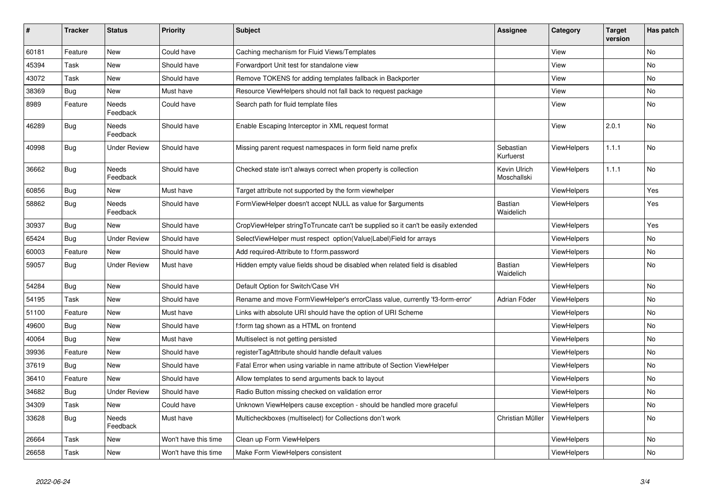| $\pmb{\#}$ | <b>Tracker</b> | <b>Status</b>            | <b>Priority</b>      | <b>Subject</b>                                                                   | Assignee                    | Category           | <b>Target</b><br>version | Has patch |
|------------|----------------|--------------------------|----------------------|----------------------------------------------------------------------------------|-----------------------------|--------------------|--------------------------|-----------|
| 60181      | Feature        | <b>New</b>               | Could have           | Caching mechanism for Fluid Views/Templates                                      |                             | View               |                          | <b>No</b> |
| 45394      | Task           | New                      | Should have          | Forwardport Unit test for standalone view                                        |                             | View               |                          | <b>No</b> |
| 43072      | Task           | New                      | Should have          | Remove TOKENS for adding templates fallback in Backporter                        |                             | View               |                          | <b>No</b> |
| 38369      | Bug            | New                      | Must have            | Resource ViewHelpers should not fall back to request package                     |                             | View               |                          | No        |
| 8989       | Feature        | Needs<br>Feedback        | Could have           | Search path for fluid template files                                             |                             | View               |                          | No        |
| 46289      | <b>Bug</b>     | Needs<br>Feedback        | Should have          | Enable Escaping Interceptor in XML request format                                |                             | View               | 2.0.1                    | No        |
| 40998      | Bug            | <b>Under Review</b>      | Should have          | Missing parent request namespaces in form field name prefix                      | Sebastian<br>Kurfuerst      | ViewHelpers        | 1.1.1                    | <b>No</b> |
| 36662      | Bug            | Needs<br>Feedback        | Should have          | Checked state isn't always correct when property is collection                   | Kevin Ulrich<br>Moschallski | ViewHelpers        | 1.1.1                    | <b>No</b> |
| 60856      | <b>Bug</b>     | <b>New</b>               | Must have            | Target attribute not supported by the form viewhelper                            |                             | ViewHelpers        |                          | Yes       |
| 58862      | Bug            | Needs<br>Feedback        | Should have          | FormViewHelper doesn't accept NULL as value for \$arguments                      | Bastian<br>Waidelich        | <b>ViewHelpers</b> |                          | Yes       |
| 30937      | <b>Bug</b>     | New                      | Should have          | CropViewHelper stringToTruncate can't be supplied so it can't be easily extended |                             | <b>ViewHelpers</b> |                          | Yes       |
| 65424      | <b>Bug</b>     | <b>Under Review</b>      | Should have          | SelectViewHelper must respect option(Value Label)Field for arrays                |                             | ViewHelpers        |                          | No        |
| 60003      | Feature        | New                      | Should have          | Add required-Attribute to f:form.password                                        |                             | ViewHelpers        |                          | No        |
| 59057      | Bug            | <b>Under Review</b>      | Must have            | Hidden empty value fields shoud be disabled when related field is disabled       | <b>Bastian</b><br>Waidelich | ViewHelpers        |                          | No        |
| 54284      | <b>Bug</b>     | New                      | Should have          | Default Option for Switch/Case VH                                                |                             | ViewHelpers        |                          | No        |
| 54195      | Task           | New                      | Should have          | Rename and move FormViewHelper's errorClass value, currently 'f3-form-error'     | Adrian Föder                | ViewHelpers        |                          | No        |
| 51100      | Feature        | New                      | Must have            | Links with absolute URI should have the option of URI Scheme                     |                             | <b>ViewHelpers</b> |                          | No        |
| 49600      | Bug            | New                      | Should have          | f:form tag shown as a HTML on frontend                                           |                             | ViewHelpers        |                          | No        |
| 40064      | <b>Bug</b>     | New                      | Must have            | Multiselect is not getting persisted                                             |                             | ViewHelpers        |                          | No        |
| 39936      | Feature        | <b>New</b>               | Should have          | registerTagAttribute should handle default values                                |                             | <b>ViewHelpers</b> |                          | <b>No</b> |
| 37619      | Bug            | New                      | Should have          | Fatal Error when using variable in name attribute of Section ViewHelper          |                             | ViewHelpers        |                          | No        |
| 36410      | Feature        | <b>New</b>               | Should have          | Allow templates to send arguments back to layout                                 |                             | <b>ViewHelpers</b> |                          | <b>No</b> |
| 34682      | <b>Bug</b>     | <b>Under Review</b>      | Should have          | Radio Button missing checked on validation error                                 |                             | ViewHelpers        |                          | No        |
| 34309      | Task           | New                      | Could have           | Unknown ViewHelpers cause exception - should be handled more graceful            |                             | ViewHelpers        |                          | No        |
| 33628      | Bug            | <b>Needs</b><br>Feedback | Must have            | Multicheckboxes (multiselect) for Collections don't work                         | Christian Müller            | ViewHelpers        |                          | <b>No</b> |
| 26664      | Task           | <b>New</b>               | Won't have this time | Clean up Form ViewHelpers                                                        |                             | <b>ViewHelpers</b> |                          | <b>No</b> |
| 26658      | Task           | <b>New</b>               | Won't have this time | Make Form ViewHelpers consistent                                                 |                             | ViewHelpers        |                          | No        |